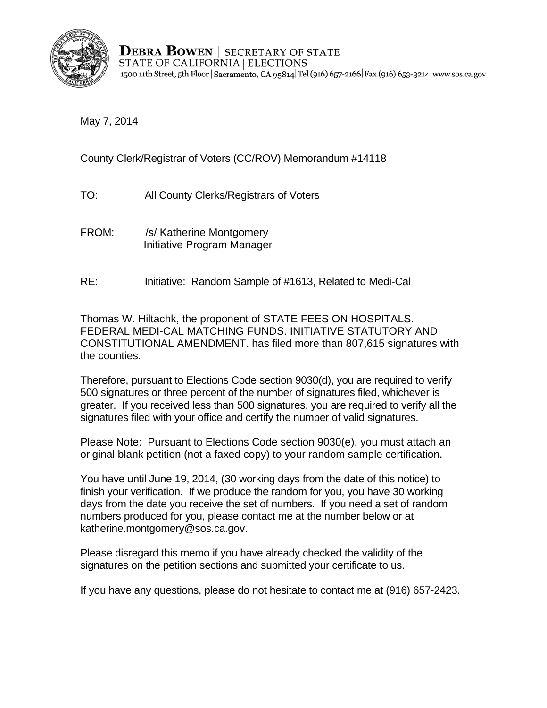

**DEBRA BOWEN** SECRETARY OF STATE STATE OF CALIFORNIA | ELECTIONS 1500 11th Street, 5th Floor | Sacramento, CA 95814 Tel (916) 657-2166 Fax (916) 653-3214 www.sos.ca.gov

May 7, 2014

County Clerk/Registrar of Voters (CC/ROV) Memorandum #14118

- TO: All County Clerks/Registrars of Voters<br>FROM: /s/ Katherine Montgomery
- Initiative Program Manager
- **RE:** Initiative: Random Sample of #1613, Related to Medi-Cal

Thomas W. Hiltachk, the proponent of STATE FEES ON HOSPITALS. FEDERAL MEDI-CAL MATCHING FUNDS. INITIATIVE STATUTORY AND CONSTITUTIONAL AMENDMENT. has filed more than 807,615 signatures with the counties.

Therefore, pursuant to Elections Code section 9030(d), you are required to verify 500 signatures or three percent of the number of signatures filed, whichever is greater. If you received less than 500 signatures, you are required to verify all the signatures filed with your office and certify the number of valid signatures.

Please Note: Pursuant to Elections Code section 9030(e), you must attach an original blank petition (not a faxed copy) to your random sample certification.

You have until June 19, 2014, (30 working days from the date of this notice) to finish your verification. If we produce the random for you, you have 30 working days from the date you receive the set of numbers. If you need a set of random numbers produced for you, please contact me at the number below or at katherine.montgomery@sos.ca.gov.

Please disregard this memo if you have already checked the validity of the signatures on the petition sections and submitted your certificate to us.

If you have any questions, please do not hesitate to contact me at (916) 657-2423.